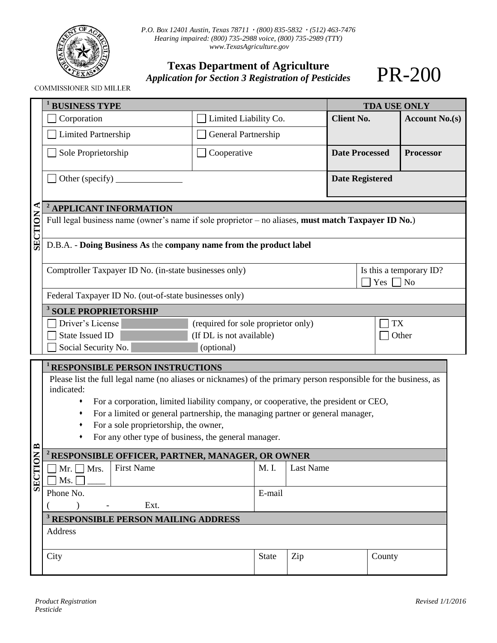

## **Texas Department of Agriculture**

*Application for Section 3 Registration of Pesticides*

PR-200

**COMMISSIONER SID MILLER** 

|                | <b>BUSINESS TYPE</b>                                                                                                                                                           |                                                                                     |                                           |                       | <b>TDA USE ONLY</b> |                  |                       |  |  |
|----------------|--------------------------------------------------------------------------------------------------------------------------------------------------------------------------------|-------------------------------------------------------------------------------------|-------------------------------------------|-----------------------|---------------------|------------------|-----------------------|--|--|
|                | Corporation                                                                                                                                                                    | Limited Liability Co.                                                               |                                           |                       | <b>Client No.</b>   |                  | <b>Account No.(s)</b> |  |  |
| <b>SECTION</b> | <b>Limited Partnership</b>                                                                                                                                                     | General Partnership                                                                 |                                           |                       |                     |                  |                       |  |  |
|                | Sole Proprietorship                                                                                                                                                            |                                                                                     |                                           | <b>Date Processed</b> |                     | <b>Processor</b> |                       |  |  |
|                |                                                                                                                                                                                |                                                                                     | <b>Date Registered</b>                    |                       |                     |                  |                       |  |  |
|                | <sup>2</sup> APPLICANT INFORMATION                                                                                                                                             |                                                                                     |                                           |                       |                     |                  |                       |  |  |
|                | Full legal business name (owner's name if sole proprietor - no aliases, must match Taxpayer ID No.)                                                                            |                                                                                     |                                           |                       |                     |                  |                       |  |  |
|                | D.B.A. - Doing Business As the company name from the product label                                                                                                             |                                                                                     |                                           |                       |                     |                  |                       |  |  |
|                | Comptroller Taxpayer ID No. (in-state businesses only)                                                                                                                         | Yes                                                                                 | Is this a temporary ID?<br>N <sub>o</sub> |                       |                     |                  |                       |  |  |
|                | Federal Taxpayer ID No. (out-of-state businesses only)                                                                                                                         |                                                                                     |                                           |                       |                     |                  |                       |  |  |
|                | <sup>3</sup> SOLE PROPRIETORSHIP                                                                                                                                               |                                                                                     |                                           |                       |                     |                  |                       |  |  |
|                | Driver's License<br>(required for sole proprietor only)                                                                                                                        |                                                                                     |                                           |                       |                     |                  | <b>TX</b>             |  |  |
|                | (If DL is not available)<br><b>State Issued ID</b>                                                                                                                             |                                                                                     |                                           |                       |                     |                  | Other                 |  |  |
|                | Social Security No.                                                                                                                                                            | (optional)                                                                          |                                           |                       |                     |                  |                       |  |  |
|                | <sup>1</sup> RESPONSIBLE PERSON INSTRUCTIONS<br>Please list the full legal name (no aliases or nicknames) of the primary person responsible for the business, as<br>indicated: |                                                                                     |                                           |                       |                     |                  |                       |  |  |
|                | ٠                                                                                                                                                                              | For a corporation, limited liability company, or cooperative, the president or CEO, |                                           |                       |                     |                  |                       |  |  |
|                | For a limited or general partnership, the managing partner or general manager,<br>٠                                                                                            |                                                                                     |                                           |                       |                     |                  |                       |  |  |
|                | For a sole proprietorship, the owner,                                                                                                                                          |                                                                                     |                                           |                       |                     |                  |                       |  |  |
|                | For any other type of business, the general manager.<br>٠                                                                                                                      |                                                                                     |                                           |                       |                     |                  |                       |  |  |
|                | RESPONSIBLE OFFICER, PARTNER, MANAGER, OR OWNER                                                                                                                                |                                                                                     |                                           |                       |                     |                  |                       |  |  |
|                | $Mr. \Box Mrs.$<br><b>First Name</b>                                                                                                                                           |                                                                                     | M. I.                                     | Last Name             |                     |                  |                       |  |  |
| SECTIO         | Ms.                                                                                                                                                                            |                                                                                     | E-mail                                    |                       |                     |                  |                       |  |  |
|                | Phone No.                                                                                                                                                                      |                                                                                     |                                           |                       |                     |                  |                       |  |  |
|                | Ext.<br>$\overline{\phantom{a}}$                                                                                                                                               |                                                                                     |                                           |                       |                     |                  |                       |  |  |
|                | <b>RESPONSIBLE PERSON MAILING ADDRESS</b>                                                                                                                                      |                                                                                     |                                           |                       |                     |                  |                       |  |  |
|                | Address                                                                                                                                                                        |                                                                                     |                                           |                       |                     |                  |                       |  |  |
|                | City<br>State<br>Zip                                                                                                                                                           |                                                                                     |                                           |                       |                     |                  |                       |  |  |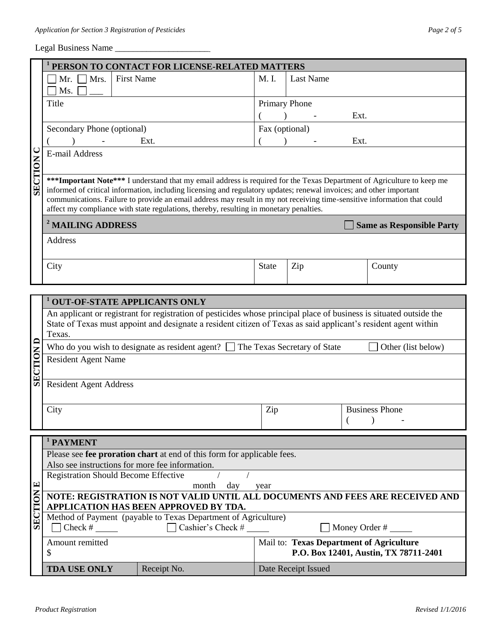## Legal Business Name

|                  | PERSON TO CONTACT FOR LICENSE-RELATED MATTERS                                                                              |                                                                                                                                                                                                                                                                                                                                                                                                                                                                     |                      |                                          |                                       |  |  |  |  |  |
|------------------|----------------------------------------------------------------------------------------------------------------------------|---------------------------------------------------------------------------------------------------------------------------------------------------------------------------------------------------------------------------------------------------------------------------------------------------------------------------------------------------------------------------------------------------------------------------------------------------------------------|----------------------|------------------------------------------|---------------------------------------|--|--|--|--|--|
|                  | <b>First Name</b><br>Mrs.<br>Mr.<br>Ms.                                                                                    |                                                                                                                                                                                                                                                                                                                                                                                                                                                                     | M. I.                | <b>Last Name</b>                         |                                       |  |  |  |  |  |
|                  | Title                                                                                                                      |                                                                                                                                                                                                                                                                                                                                                                                                                                                                     | <b>Primary Phone</b> |                                          |                                       |  |  |  |  |  |
|                  |                                                                                                                            |                                                                                                                                                                                                                                                                                                                                                                                                                                                                     |                      | Ext.                                     |                                       |  |  |  |  |  |
|                  |                                                                                                                            |                                                                                                                                                                                                                                                                                                                                                                                                                                                                     | Fax (optional)       |                                          |                                       |  |  |  |  |  |
|                  | Secondary Phone (optional)                                                                                                 | Ext.                                                                                                                                                                                                                                                                                                                                                                                                                                                                |                      |                                          |                                       |  |  |  |  |  |
|                  | Ext.                                                                                                                       |                                                                                                                                                                                                                                                                                                                                                                                                                                                                     |                      |                                          |                                       |  |  |  |  |  |
| <b>SECTION C</b> |                                                                                                                            | E-mail Address                                                                                                                                                                                                                                                                                                                                                                                                                                                      |                      |                                          |                                       |  |  |  |  |  |
|                  |                                                                                                                            | ***Important Note*** I understand that my email address is required for the Texas Department of Agriculture to keep me<br>informed of critical information, including licensing and regulatory updates; renewal invoices; and other important<br>communications. Failure to provide an email address may result in my not receiving time-sensitive information that could<br>affect my compliance with state regulations, thereby, resulting in monetary penalties. |                      |                                          |                                       |  |  |  |  |  |
|                  | <sup>2</sup> MAILING ADDRESS                                                                                               |                                                                                                                                                                                                                                                                                                                                                                                                                                                                     |                      |                                          | <b>Same as Responsible Party</b>      |  |  |  |  |  |
|                  | Address                                                                                                                    |                                                                                                                                                                                                                                                                                                                                                                                                                                                                     |                      |                                          |                                       |  |  |  |  |  |
|                  | City                                                                                                                       |                                                                                                                                                                                                                                                                                                                                                                                                                                                                     | <b>State</b>         | Zip                                      | County                                |  |  |  |  |  |
|                  |                                                                                                                            |                                                                                                                                                                                                                                                                                                                                                                                                                                                                     |                      |                                          |                                       |  |  |  |  |  |
|                  | <b>OUT-OF-STATE APPLICANTS ONLY</b>                                                                                        |                                                                                                                                                                                                                                                                                                                                                                                                                                                                     |                      |                                          |                                       |  |  |  |  |  |
|                  | An applicant or registrant for registration of pesticides whose principal place of business is situated outside the        |                                                                                                                                                                                                                                                                                                                                                                                                                                                                     |                      |                                          |                                       |  |  |  |  |  |
|                  | State of Texas must appoint and designate a resident citizen of Texas as said applicant's resident agent within<br>Texas.  |                                                                                                                                                                                                                                                                                                                                                                                                                                                                     |                      |                                          |                                       |  |  |  |  |  |
|                  | Who do you wish to designate as resident agent? $\Box$ The Texas Secretary of State<br>Other (list below)                  |                                                                                                                                                                                                                                                                                                                                                                                                                                                                     |                      |                                          |                                       |  |  |  |  |  |
| <b>SECTION D</b> | <b>Resident Agent Name</b>                                                                                                 |                                                                                                                                                                                                                                                                                                                                                                                                                                                                     |                      |                                          |                                       |  |  |  |  |  |
|                  |                                                                                                                            |                                                                                                                                                                                                                                                                                                                                                                                                                                                                     |                      |                                          |                                       |  |  |  |  |  |
|                  | <b>Resident Agent Address</b>                                                                                              |                                                                                                                                                                                                                                                                                                                                                                                                                                                                     |                      |                                          |                                       |  |  |  |  |  |
|                  | City                                                                                                                       |                                                                                                                                                                                                                                                                                                                                                                                                                                                                     | Zip                  |                                          | <b>Business Phone</b>                 |  |  |  |  |  |
|                  |                                                                                                                            |                                                                                                                                                                                                                                                                                                                                                                                                                                                                     |                      |                                          |                                       |  |  |  |  |  |
|                  |                                                                                                                            |                                                                                                                                                                                                                                                                                                                                                                                                                                                                     |                      |                                          |                                       |  |  |  |  |  |
|                  | <b>PAYMENT</b>                                                                                                             |                                                                                                                                                                                                                                                                                                                                                                                                                                                                     |                      |                                          |                                       |  |  |  |  |  |
|                  | Please see fee proration chart at end of this form for applicable fees.<br>Also see instructions for more fee information. |                                                                                                                                                                                                                                                                                                                                                                                                                                                                     |                      |                                          |                                       |  |  |  |  |  |
|                  | <b>Registration Should Become Effective</b>                                                                                |                                                                                                                                                                                                                                                                                                                                                                                                                                                                     |                      |                                          |                                       |  |  |  |  |  |
|                  | month<br>day<br>year                                                                                                       |                                                                                                                                                                                                                                                                                                                                                                                                                                                                     |                      |                                          |                                       |  |  |  |  |  |
| <b>SECTIONE</b>  | NOTE: REGISTRATION IS NOT VALID UNTIL ALL DOCUMENTS AND FEES ARE RECEIVED AND<br>APPLICATION HAS BEEN APPROVED BY TDA.     |                                                                                                                                                                                                                                                                                                                                                                                                                                                                     |                      |                                          |                                       |  |  |  |  |  |
|                  |                                                                                                                            | Method of Payment (payable to Texas Department of Agriculture)                                                                                                                                                                                                                                                                                                                                                                                                      |                      |                                          |                                       |  |  |  |  |  |
|                  | Check #                                                                                                                    | Cashier's Check #                                                                                                                                                                                                                                                                                                                                                                                                                                                   |                      | Money Order #                            |                                       |  |  |  |  |  |
|                  | Amount remitted                                                                                                            |                                                                                                                                                                                                                                                                                                                                                                                                                                                                     |                      | Mail to: Texas Department of Agriculture | P.O. Box 12401, Austin, TX 78711-2401 |  |  |  |  |  |
|                  | <b>TDA USE ONLY</b>                                                                                                        | Receipt No.                                                                                                                                                                                                                                                                                                                                                                                                                                                         |                      | Date Receipt Issued                      |                                       |  |  |  |  |  |
|                  |                                                                                                                            |                                                                                                                                                                                                                                                                                                                                                                                                                                                                     |                      |                                          |                                       |  |  |  |  |  |
|                  |                                                                                                                            |                                                                                                                                                                                                                                                                                                                                                                                                                                                                     |                      |                                          |                                       |  |  |  |  |  |
|                  |                                                                                                                            |                                                                                                                                                                                                                                                                                                                                                                                                                                                                     |                      |                                          |                                       |  |  |  |  |  |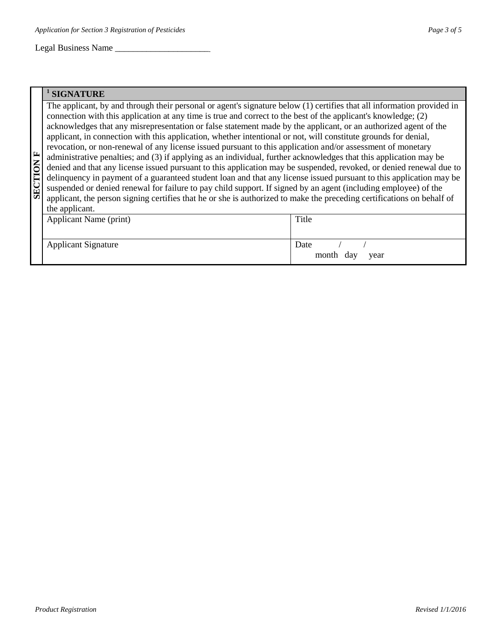#### Legal Business Name

### **SIGNATURE**

**1**

**Product Representative registration Product Registration Registration Replace that and the substantine controlled the substantine state of the substantine state of the substantine state of the substantine state of t** The applicant, by and through their personal or agent's signature below (1) certifies that all information provided in connection with this application at any time is true and correct to the best of the applicant's knowledge; (2) acknowledges that any misrepresentation or false statement made by the applicant, or an authorized agent of the applicant, in connection with this application, whether intentional or not, will constitute grounds for denial, revocation, or non-renewal of any license issued pursuant to this application and/or assessment of monetary administrative penalties; and (3) if applying as an individual, further acknowledges that this application may be denied and that any license issued pursuant to this application may be suspended, revoked, or denied renewal due to delinquency in payment of a guaranteed student loan and that any license issued pursuant to this application may be suspended or denied renewal for failure to pay child support. If signed by an agent (including employee) of the applicant, the person signing certifies that he or she is authorized to make the preceding certifications on behalf of the applicant. Applicant Name (print) Title

| Applicant Name (print)     | 1 itie                    |
|----------------------------|---------------------------|
| <b>Applicant Signature</b> | Date<br>month day<br>year |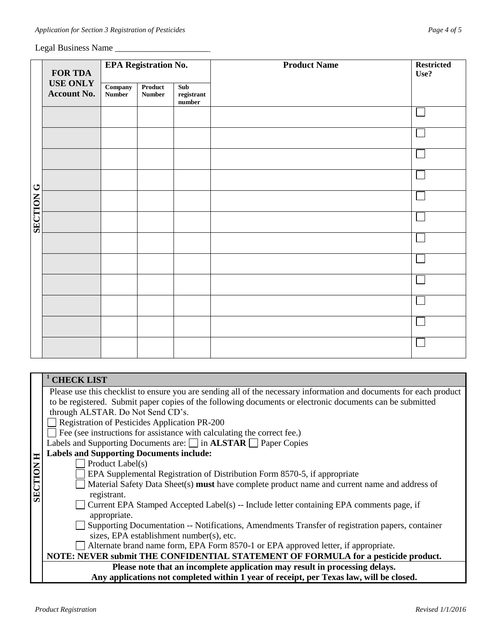# Legal Business Name

|                  | <b>FOR TDA</b>                        |                          | <b>EPA Registration No.</b> |                                              | <b>Product Name</b> | <b>Restricted</b><br>Use? |
|------------------|---------------------------------------|--------------------------|-----------------------------|----------------------------------------------|---------------------|---------------------------|
|                  | <b>USE ONLY</b><br><b>Account No.</b> | Company<br><b>Number</b> | Product<br><b>Number</b>    | <b>Sub</b><br>${\bf registration}$<br>number |                     |                           |
|                  |                                       |                          |                             |                                              |                     |                           |
|                  |                                       |                          |                             |                                              |                     |                           |
|                  |                                       |                          |                             |                                              |                     |                           |
|                  |                                       |                          |                             |                                              |                     |                           |
| <b>SECTION G</b> |                                       |                          |                             |                                              |                     |                           |
|                  |                                       |                          |                             |                                              |                     |                           |
|                  |                                       |                          |                             |                                              |                     |                           |
|                  |                                       |                          |                             |                                              |                     |                           |
|                  |                                       |                          |                             |                                              |                     |                           |
|                  |                                       |                          |                             |                                              |                     |                           |
|                  |                                       |                          |                             |                                              |                     |                           |
|                  |                                       |                          |                             |                                              |                     |                           |

| <b>SECTION G</b> |                                                                                                                                                                                                                                                                                                                                                                                                                                                                                                                                                                                                                                                                                                                                                                                                                                                                                                                                                                                                                                                                                                                                                                                                  |  |  |  |                                                                                         |  |  |  |  |                  |
|------------------|--------------------------------------------------------------------------------------------------------------------------------------------------------------------------------------------------------------------------------------------------------------------------------------------------------------------------------------------------------------------------------------------------------------------------------------------------------------------------------------------------------------------------------------------------------------------------------------------------------------------------------------------------------------------------------------------------------------------------------------------------------------------------------------------------------------------------------------------------------------------------------------------------------------------------------------------------------------------------------------------------------------------------------------------------------------------------------------------------------------------------------------------------------------------------------------------------|--|--|--|-----------------------------------------------------------------------------------------|--|--|--|--|------------------|
|                  |                                                                                                                                                                                                                                                                                                                                                                                                                                                                                                                                                                                                                                                                                                                                                                                                                                                                                                                                                                                                                                                                                                                                                                                                  |  |  |  |                                                                                         |  |  |  |  |                  |
|                  |                                                                                                                                                                                                                                                                                                                                                                                                                                                                                                                                                                                                                                                                                                                                                                                                                                                                                                                                                                                                                                                                                                                                                                                                  |  |  |  |                                                                                         |  |  |  |  |                  |
|                  |                                                                                                                                                                                                                                                                                                                                                                                                                                                                                                                                                                                                                                                                                                                                                                                                                                                                                                                                                                                                                                                                                                                                                                                                  |  |  |  |                                                                                         |  |  |  |  |                  |
|                  |                                                                                                                                                                                                                                                                                                                                                                                                                                                                                                                                                                                                                                                                                                                                                                                                                                                                                                                                                                                                                                                                                                                                                                                                  |  |  |  |                                                                                         |  |  |  |  |                  |
|                  |                                                                                                                                                                                                                                                                                                                                                                                                                                                                                                                                                                                                                                                                                                                                                                                                                                                                                                                                                                                                                                                                                                                                                                                                  |  |  |  |                                                                                         |  |  |  |  |                  |
|                  |                                                                                                                                                                                                                                                                                                                                                                                                                                                                                                                                                                                                                                                                                                                                                                                                                                                                                                                                                                                                                                                                                                                                                                                                  |  |  |  |                                                                                         |  |  |  |  |                  |
|                  |                                                                                                                                                                                                                                                                                                                                                                                                                                                                                                                                                                                                                                                                                                                                                                                                                                                                                                                                                                                                                                                                                                                                                                                                  |  |  |  |                                                                                         |  |  |  |  |                  |
|                  | <b>CHECK LIST</b>                                                                                                                                                                                                                                                                                                                                                                                                                                                                                                                                                                                                                                                                                                                                                                                                                                                                                                                                                                                                                                                                                                                                                                                |  |  |  |                                                                                         |  |  |  |  |                  |
| <b>SECTION H</b> | Please use this checklist to ensure you are sending all of the necessary information and documents for each product<br>to be registered. Submit paper copies of the following documents or electronic documents can be submitted<br>through ALSTAR. Do Not Send CD's.<br>Registration of Pesticides Application PR-200<br>Fee (see instructions for assistance with calculating the correct fee.)<br>Labels and Supporting Documents are: $\Box$ in <b>ALSTAR</b> $\Box$ Paper Copies<br><b>Labels and Supporting Documents include:</b><br>Product Label(s)<br>EPA Supplemental Registration of Distribution Form 8570-5, if appropriate<br>Material Safety Data Sheet(s) must have complete product name and current name and address of<br>registrant.<br>Current EPA Stamped Accepted Label(s) -- Include letter containing EPA comments page, if<br>appropriate.<br>Supporting Documentation -- Notifications, Amendments Transfer of registration papers, container<br>sizes, EPA establishment number(s), etc.<br>Alternate brand name form, EPA Form 8570-1 or EPA approved letter, if appropriate.<br>NOTE: NEVER submit THE CONFIDENTIAL STATEMENT OF FORMULA for a pesticide product. |  |  |  |                                                                                         |  |  |  |  |                  |
|                  |                                                                                                                                                                                                                                                                                                                                                                                                                                                                                                                                                                                                                                                                                                                                                                                                                                                                                                                                                                                                                                                                                                                                                                                                  |  |  |  | Please note that an incomplete application may result in processing delays.             |  |  |  |  |                  |
|                  |                                                                                                                                                                                                                                                                                                                                                                                                                                                                                                                                                                                                                                                                                                                                                                                                                                                                                                                                                                                                                                                                                                                                                                                                  |  |  |  | Any applications not completed within 1 year of receipt, per Texas law, will be closed. |  |  |  |  |                  |
|                  | <b>Product Registration</b>                                                                                                                                                                                                                                                                                                                                                                                                                                                                                                                                                                                                                                                                                                                                                                                                                                                                                                                                                                                                                                                                                                                                                                      |  |  |  |                                                                                         |  |  |  |  | Revised 1/1/2016 |